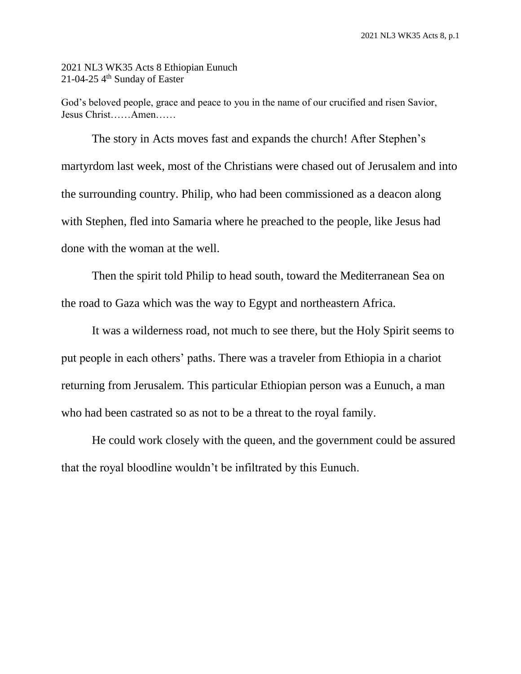2021 NL3 WK35 Acts 8 Ethiopian Eunuch 21-04-25  $4<sup>th</sup>$  Sunday of Easter

God's beloved people, grace and peace to you in the name of our crucified and risen Savior, Jesus Christ……Amen……

The story in Acts moves fast and expands the church! After Stephen's martyrdom last week, most of the Christians were chased out of Jerusalem and into the surrounding country. Philip, who had been commissioned as a deacon along with Stephen, fled into Samaria where he preached to the people, like Jesus had done with the woman at the well.

Then the spirit told Philip to head south, toward the Mediterranean Sea on the road to Gaza which was the way to Egypt and northeastern Africa.

It was a wilderness road, not much to see there, but the Holy Spirit seems to put people in each others' paths. There was a traveler from Ethiopia in a chariot returning from Jerusalem. This particular Ethiopian person was a Eunuch, a man who had been castrated so as not to be a threat to the royal family.

He could work closely with the queen, and the government could be assured that the royal bloodline wouldn't be infiltrated by this Eunuch.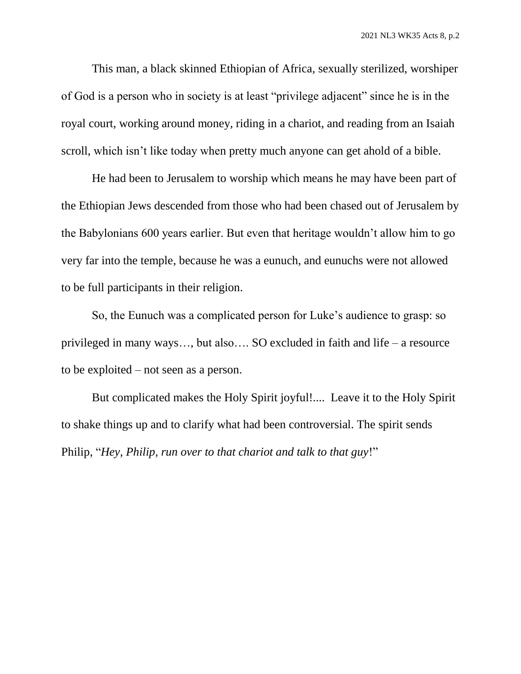This man, a black skinned Ethiopian of Africa, sexually sterilized, worshiper of God is a person who in society is at least "privilege adjacent" since he is in the royal court, working around money, riding in a chariot, and reading from an Isaiah scroll, which isn't like today when pretty much anyone can get ahold of a bible.

He had been to Jerusalem to worship which means he may have been part of the Ethiopian Jews descended from those who had been chased out of Jerusalem by the Babylonians 600 years earlier. But even that heritage wouldn't allow him to go very far into the temple, because he was a eunuch, and eunuchs were not allowed to be full participants in their religion.

So, the Eunuch was a complicated person for Luke's audience to grasp: so privileged in many ways…, but also…. SO excluded in faith and life – a resource to be exploited – not seen as a person.

But complicated makes the Holy Spirit joyful!.... Leave it to the Holy Spirit to shake things up and to clarify what had been controversial. The spirit sends Philip, "*Hey, Philip, run over to that chariot and talk to that guy*!"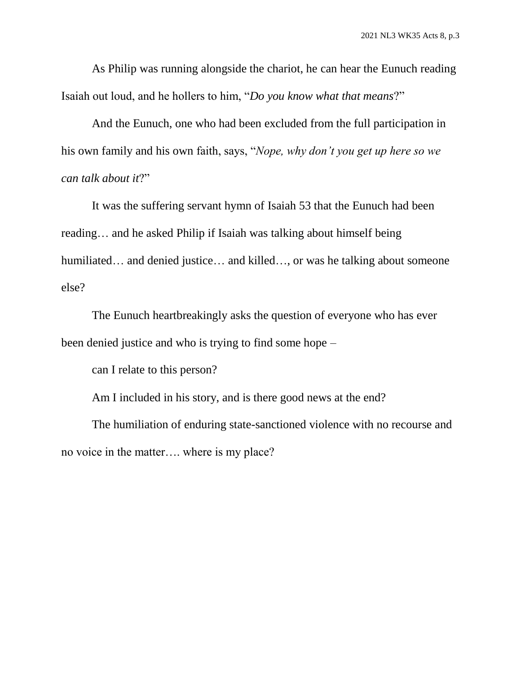As Philip was running alongside the chariot, he can hear the Eunuch reading Isaiah out loud, and he hollers to him, "*Do you know what that means*?"

And the Eunuch, one who had been excluded from the full participation in his own family and his own faith, says, "*Nope, why don't you get up here so we can talk about it*?"

It was the suffering servant hymn of Isaiah 53 that the Eunuch had been reading… and he asked Philip if Isaiah was talking about himself being humiliated… and denied justice… and killed…, or was he talking about someone else?

The Eunuch heartbreakingly asks the question of everyone who has ever been denied justice and who is trying to find some hope –

can I relate to this person?

Am I included in his story, and is there good news at the end?

The humiliation of enduring state-sanctioned violence with no recourse and no voice in the matter…. where is my place?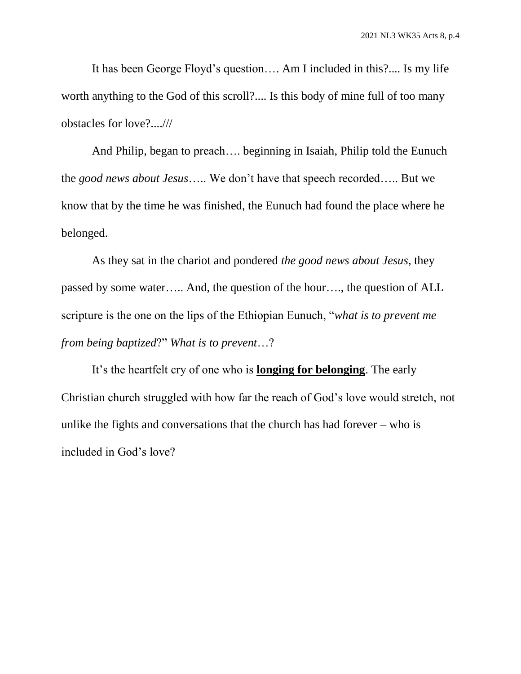It has been George Floyd's question…. Am I included in this?.... Is my life worth anything to the God of this scroll?.... Is this body of mine full of too many obstacles for love?....///

And Philip, began to preach…. beginning in Isaiah, Philip told the Eunuch the *good news about Jesus*….. We don't have that speech recorded….. But we know that by the time he was finished, the Eunuch had found the place where he belonged.

As they sat in the chariot and pondered *the good news about Jesus*, they passed by some water….. And, the question of the hour…., the question of ALL scripture is the one on the lips of the Ethiopian Eunuch, "*what is to prevent me from being baptized*?" *What is to prevent*…?

It's the heartfelt cry of one who is **longing for belonging**. The early Christian church struggled with how far the reach of God's love would stretch, not unlike the fights and conversations that the church has had forever – who is included in God's love?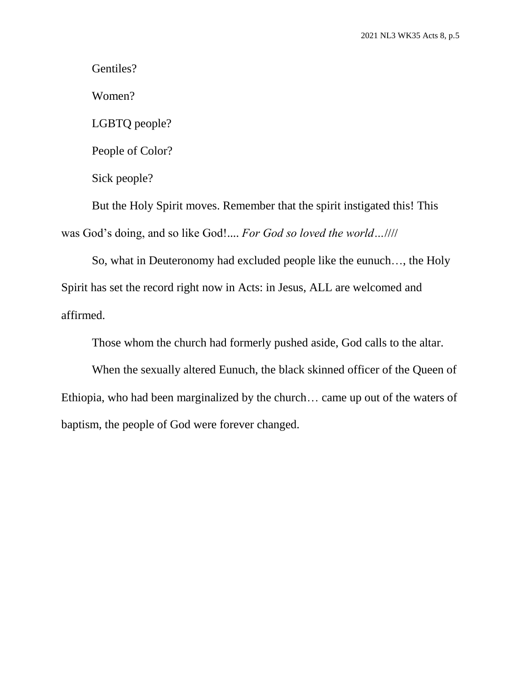Gentiles?

Women?

LGBTQ people?

People of Color?

Sick people?

But the Holy Spirit moves. Remember that the spirit instigated this! This was God's doing, and so like God!.... *For God so loved the world…*////

So, what in Deuteronomy had excluded people like the eunuch…, the Holy Spirit has set the record right now in Acts: in Jesus, ALL are welcomed and affirmed.

Those whom the church had formerly pushed aside, God calls to the altar.

When the sexually altered Eunuch, the black skinned officer of the Queen of Ethiopia, who had been marginalized by the church… came up out of the waters of baptism, the people of God were forever changed.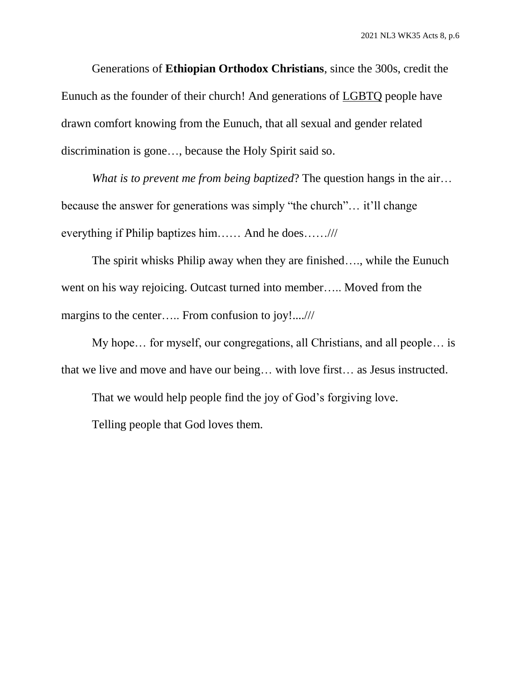Generations of **Ethiopian Orthodox Christians**, since the 300s, credit the Eunuch as the founder of their church! And generations of LGBTQ people have drawn comfort knowing from the Eunuch, that all sexual and gender related discrimination is gone…, because the Holy Spirit said so.

*What is to prevent me from being baptized*? The question hangs in the air… because the answer for generations was simply "the church"… it'll change everything if Philip baptizes him…… And he does……///

The spirit whisks Philip away when they are finished…., while the Eunuch went on his way rejoicing. Outcast turned into member….. Moved from the margins to the center….. From confusion to joy!....///

My hope… for myself, our congregations, all Christians, and all people… is that we live and move and have our being… with love first… as Jesus instructed.

That we would help people find the joy of God's forgiving love.

Telling people that God loves them.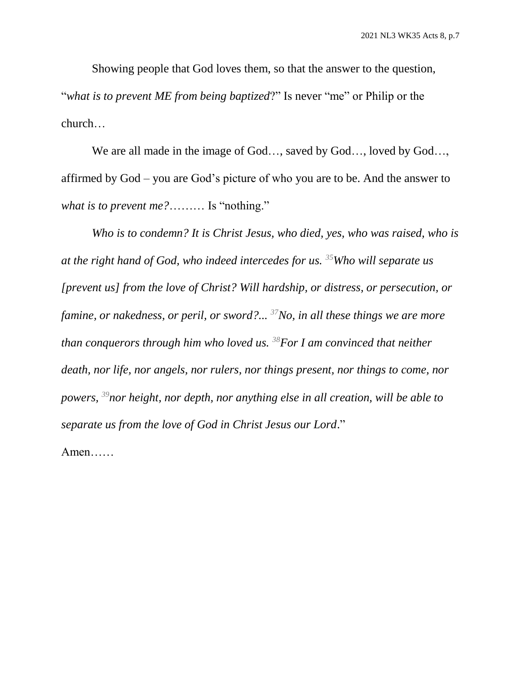Showing people that God loves them, so that the answer to the question, "*what is to prevent ME from being baptized*?" Is never "me" or Philip or the church…

We are all made in the image of God..., saved by God..., loved by God..., affirmed by God – you are God's picture of who you are to be. And the answer to *what is to prevent me?*……… Is "nothing."

*Who is to condemn? It is Christ Jesus, who died, yes, who was raised, who is at the right hand of God, who indeed intercedes for us. <sup>35</sup>Who will separate us [prevent us] from the love of Christ? Will hardship, or distress, or persecution, or famine, or nakedness, or peril, or sword?... <sup>37</sup>No, in all these things we are more than conquerors through him who loved us. <sup>38</sup>For I am convinced that neither death, nor life, nor angels, nor rulers, nor things present, nor things to come, nor powers, <sup>39</sup>nor height, nor depth, nor anything else in all creation, will be able to separate us from the love of God in Christ Jesus our Lord*." Amen……